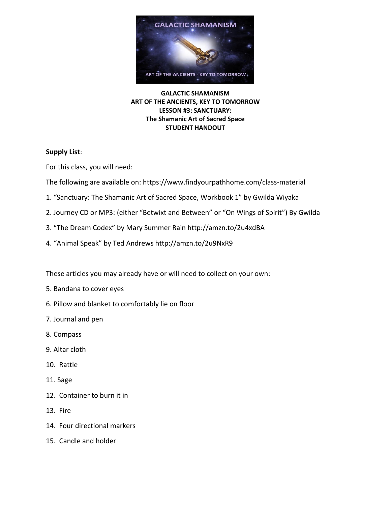

**GALACTIC SHAMANISM ART OF THE ANCIENTS, KEY TO TOMORROW LESSON #3: SANCTUARY: The Shamanic Art of Sacred Space STUDENT HANDOUT**

# **Supply List**:

For this class, you will need:

The following are available on: https://www.findyourpathhome.com/class-material

- 1. "Sanctuary: The Shamanic Art of Sacred Space, Workbook 1" by Gwilda Wiyaka
- 2. Journey CD or MP3: (either "Betwixt and Between" or "On Wings of Spirit") By Gwilda
- 3. "The Dream Codex" by Mary Summer Rain http://amzn.to/2u4xdBA
- 4. "Animal Speak" by Ted Andrews http://amzn.to/2u9NxR9

These articles you may already have or will need to collect on your own:

- 5. Bandana to cover eyes
- 6. Pillow and blanket to comfortably lie on floor
- 7. Journal and pen
- 8. Compass
- 9. Altar cloth
- 10. Rattle
- 11. Sage
- 12. Container to burn it in
- 13. Fire
- 14. Four directional markers
- 15. Candle and holder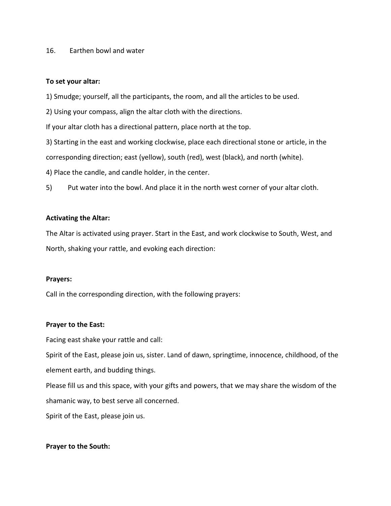#### 16. Earthen bowl and water

#### **To set your altar:**

1) Smudge; yourself, all the participants, the room, and all the articles to be used.

2) Using your compass, align the altar cloth with the directions.

If your altar cloth has a directional pattern, place north at the top.

3) Starting in the east and working clockwise, place each directional stone or article, in the

corresponding direction; east (yellow), south (red), west (black), and north (white).

4) Place the candle, and candle holder, in the center.

5) Put water into the bowl. And place it in the north west corner of your altar cloth.

# **Activating the Altar:**

The Altar is activated using prayer. Start in the East, and work clockwise to South, West, and North, shaking your rattle, and evoking each direction:

## **Prayers:**

Call in the corresponding direction, with the following prayers:

## **Prayer to the East:**

Facing east shake your rattle and call:

Spirit of the East, please join us, sister. Land of dawn, springtime, innocence, childhood, of the element earth, and budding things.

Please fill us and this space, with your gifts and powers, that we may share the wisdom of the shamanic way, to best serve all concerned.

Spirit of the East, please join us.

## **Prayer to the South:**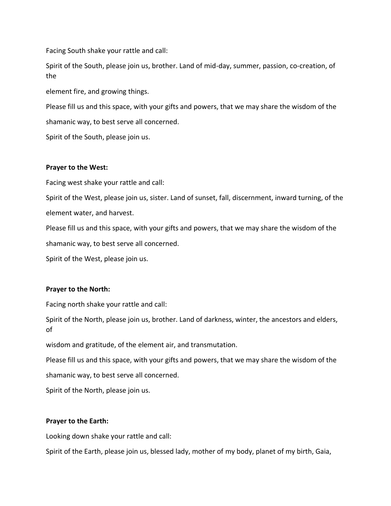Facing South shake your rattle and call:

Spirit of the South, please join us, brother. Land of mid-day, summer, passion, co-creation, of the

element fire, and growing things.

Please fill us and this space, with your gifts and powers, that we may share the wisdom of the shamanic way, to best serve all concerned.

Spirit of the South, please join us.

#### **Prayer to the West:**

Facing west shake your rattle and call:

Spirit of the West, please join us, sister. Land of sunset, fall, discernment, inward turning, of the element water, and harvest.

Please fill us and this space, with your gifts and powers, that we may share the wisdom of the shamanic way, to best serve all concerned.

Spirit of the West, please join us.

#### **Prayer to the North:**

Facing north shake your rattle and call:

Spirit of the North, please join us, brother. Land of darkness, winter, the ancestors and elders, of

wisdom and gratitude, of the element air, and transmutation.

Please fill us and this space, with your gifts and powers, that we may share the wisdom of the shamanic way, to best serve all concerned.

Spirit of the North, please join us.

## **Prayer to the Earth:**

Looking down shake your rattle and call:

Spirit of the Earth, please join us, blessed lady, mother of my body, planet of my birth, Gaia,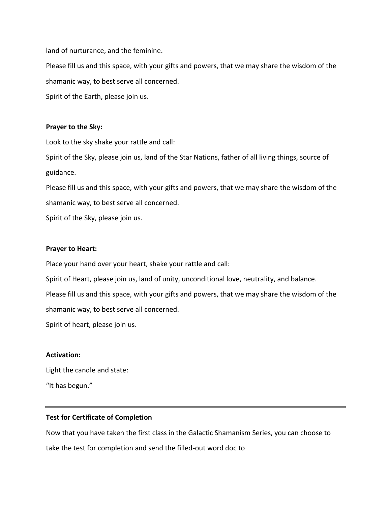land of nurturance, and the feminine.

Please fill us and this space, with your gifts and powers, that we may share the wisdom of the shamanic way, to best serve all concerned. Spirit of the Earth, please join us.

### **Prayer to the Sky:**

Look to the sky shake your rattle and call:

Spirit of the Sky, please join us, land of the Star Nations, father of all living things, source of guidance.

Please fill us and this space, with your gifts and powers, that we may share the wisdom of the shamanic way, to best serve all concerned.

Spirit of the Sky, please join us.

#### **Prayer to Heart:**

Place your hand over your heart, shake your rattle and call:

Spirit of Heart, please join us, land of unity, unconditional love, neutrality, and balance.

Please fill us and this space, with your gifts and powers, that we may share the wisdom of the

shamanic way, to best serve all concerned.

Spirit of heart, please join us.

# **Activation:**

Light the candle and state:

"It has begun."

## **Test for Certificate of Completion**

Now that you have taken the first class in the Galactic Shamanism Series, you can choose to take the test for completion and send the filled-out word doc to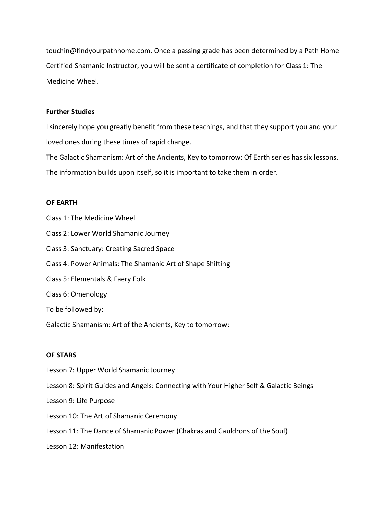touchin@findyourpathhome.com. Once a passing grade has been determined by a Path Home Certified Shamanic Instructor, you will be sent a certificate of completion for Class 1: The Medicine Wheel.

### **Further Studies**

I sincerely hope you greatly benefit from these teachings, and that they support you and your loved ones during these times of rapid change.

The Galactic Shamanism: Art of the Ancients, Key to tomorrow: Of Earth series has six lessons. The information builds upon itself, so it is important to take them in order.

#### **OF EARTH**

Class 1: The Medicine Wheel Class 2: Lower World Shamanic Journey Class 3: Sanctuary: Creating Sacred Space Class 4: Power Animals: The Shamanic Art of Shape Shifting Class 5: Elementals & Faery Folk Class 6: Omenology To be followed by: Galactic Shamanism: Art of the Ancients, Key to tomorrow:

## **OF STARS**

- Lesson 7: Upper World Shamanic Journey
- Lesson 8: Spirit Guides and Angels: Connecting with Your Higher Self & Galactic Beings
- Lesson 9: Life Purpose
- Lesson 10: The Art of Shamanic Ceremony
- Lesson 11: The Dance of Shamanic Power (Chakras and Cauldrons of the Soul)
- Lesson 12: Manifestation